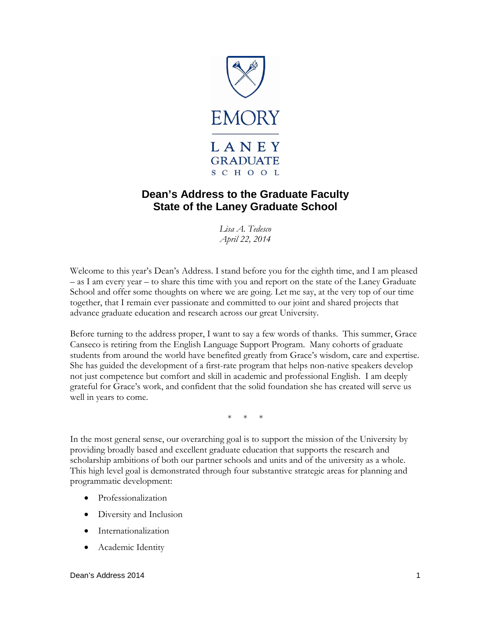

# **Dean's Address to the Graduate Faculty State of the Laney Graduate School**

*Lisa A. Tedesco April 22, 2014*

Welcome to this year's Dean's Address. I stand before you for the eighth time, and I am pleased – as I am every year – to share this time with you and report on the state of the Laney Graduate School and offer some thoughts on where we are going. Let me say, at the very top of our time together, that I remain ever passionate and committed to our joint and shared projects that advance graduate education and research across our great University.

Before turning to the address proper, I want to say a few words of thanks. This summer, Grace Canseco is retiring from the English Language Support Program. Many cohorts of graduate students from around the world have benefited greatly from Grace's wisdom, care and expertise. She has guided the development of a first-rate program that helps non-native speakers develop not just competence but comfort and skill in academic and professional English. I am deeply grateful for Grace's work, and confident that the solid foundation she has created will serve us well in years to come.

\* \* \*

In the most general sense, our overarching goal is to support the mission of the University by providing broadly based and excellent graduate education that supports the research and scholarship ambitions of both our partner schools and units and of the university as a whole. This high level goal is demonstrated through four substantive strategic areas for planning and programmatic development:

- Professionalization
- Diversity and Inclusion
- Internationalization
- Academic Identity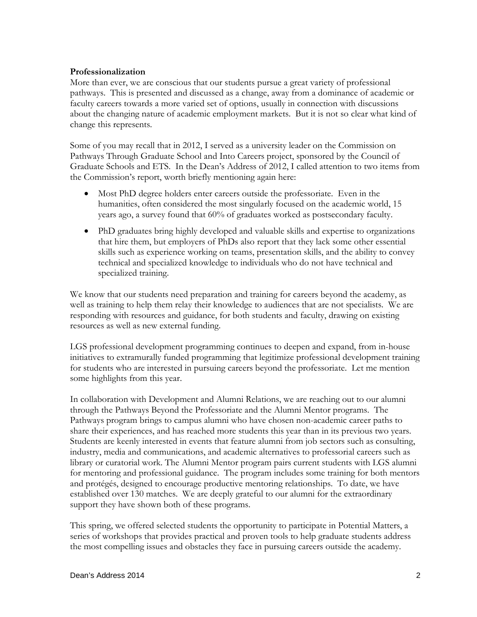### **Professionalization**

More than ever, we are conscious that our students pursue a great variety of professional pathways. This is presented and discussed as a change, away from a dominance of academic or faculty careers towards a more varied set of options, usually in connection with discussions about the changing nature of academic employment markets. But it is not so clear what kind of change this represents.

Some of you may recall that in 2012, I served as a university leader on the Commission on Pathways Through Graduate School and Into Careers project, sponsored by the Council of Graduate Schools and ETS. In the Dean's Address of 2012, I called attention to two items from the Commission's report, worth briefly mentioning again here:

- Most PhD degree holders enter careers outside the professoriate. Even in the humanities, often considered the most singularly focused on the academic world, 15 years ago, a survey found that 60% of graduates worked as postsecondary faculty.
- PhD graduates bring highly developed and valuable skills and expertise to organizations that hire them, but employers of PhDs also report that they lack some other essential skills such as experience working on teams, presentation skills, and the ability to convey technical and specialized knowledge to individuals who do not have technical and specialized training.

We know that our students need preparation and training for careers beyond the academy, as well as training to help them relay their knowledge to audiences that are not specialists. We are responding with resources and guidance, for both students and faculty, drawing on existing resources as well as new external funding.

LGS professional development programming continues to deepen and expand, from in-house initiatives to extramurally funded programming that legitimize professional development training for students who are interested in pursuing careers beyond the professoriate. Let me mention some highlights from this year.

In collaboration with Development and Alumni Relations, we are reaching out to our alumni through the Pathways Beyond the Professoriate and the Alumni Mentor programs. The Pathways program brings to campus alumni who have chosen non-academic career paths to share their experiences, and has reached more students this year than in its previous two years. Students are keenly interested in events that feature alumni from job sectors such as consulting, industry, media and communications, and academic alternatives to professorial careers such as library or curatorial work. The Alumni Mentor program pairs current students with LGS alumni for mentoring and professional guidance. The program includes some training for both mentors and protégés, designed to encourage productive mentoring relationships. To date, we have established over 130 matches. We are deeply grateful to our alumni for the extraordinary support they have shown both of these programs.

This spring, we offered selected students the opportunity to participate in Potential Matters, a series of workshops that provides practical and proven tools to help graduate students address the most compelling issues and obstacles they face in pursuing careers outside the academy.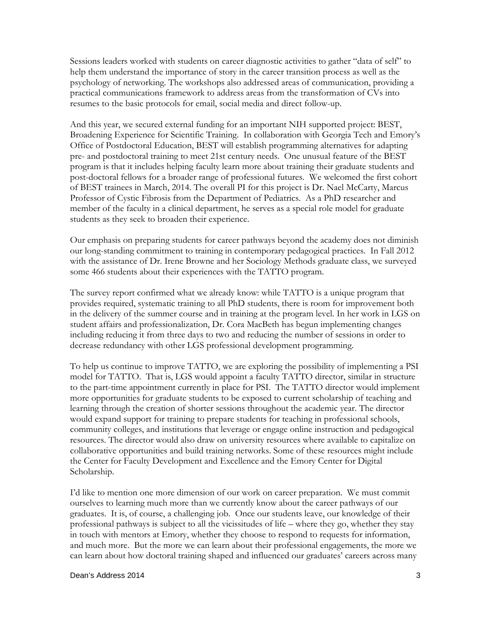Sessions leaders worked with students on career diagnostic activities to gather "data of self" to help them understand the importance of story in the career transition process as well as the psychology of networking. The workshops also addressed areas of communication, providing a practical communications framework to address areas from the transformation of CVs into resumes to the basic protocols for email, social media and direct follow-up.

And this year, we secured external funding for an important NIH supported project: BEST, Broadening Experience for Scientific Training. In collaboration with Georgia Tech and Emory's Office of Postdoctoral Education, BEST will establish programming alternatives for adapting pre- and postdoctoral training to meet 21st century needs. One unusual feature of the BEST program is that it includes helping faculty learn more about training their graduate students and post-doctoral fellows for a broader range of professional futures. We welcomed the first cohort of BEST trainees in March, 2014. The overall PI for this project is Dr. Nael McCarty, Marcus Professor of Cystic Fibrosis from the Department of Pediatrics. As a PhD researcher and member of the faculty in a clinical department, he serves as a special role model for graduate students as they seek to broaden their experience.

Our emphasis on preparing students for career pathways beyond the academy does not diminish our long-standing commitment to training in contemporary pedagogical practices. In Fall 2012 with the assistance of Dr. Irene Browne and her Sociology Methods graduate class, we surveyed some 466 students about their experiences with the TATTO program.

The survey report confirmed what we already know: while TATTO is a unique program that provides required, systematic training to all PhD students, there is room for improvement both in the delivery of the summer course and in training at the program level. In her work in LGS on student affairs and professionalization, Dr. Cora MacBeth has begun implementing changes including reducing it from three days to two and reducing the number of sessions in order to decrease redundancy with other LGS professional development programming.

To help us continue to improve TATTO, we are exploring the possibility of implementing a PSI model for TATTO. That is, LGS would appoint a faculty TATTO director, similar in structure to the part-time appointment currently in place for PSI. The TATTO director would implement more opportunities for graduate students to be exposed to current scholarship of teaching and learning through the creation of shorter sessions throughout the academic year. The director would expand support for training to prepare students for teaching in professional schools, community colleges, and institutions that leverage or engage online instruction and pedagogical resources. The director would also draw on university resources where available to capitalize on collaborative opportunities and build training networks. Some of these resources might include the Center for Faculty Development and Excellence and the Emory Center for Digital Scholarship.

I'd like to mention one more dimension of our work on career preparation. We must commit ourselves to learning much more than we currently know about the career pathways of our graduates. It is, of course, a challenging job. Once our students leave, our knowledge of their professional pathways is subject to all the vicissitudes of life – where they go, whether they stay in touch with mentors at Emory, whether they choose to respond to requests for information, and much more. But the more we can learn about their professional engagements, the more we can learn about how doctoral training shaped and influenced our graduates' careers across many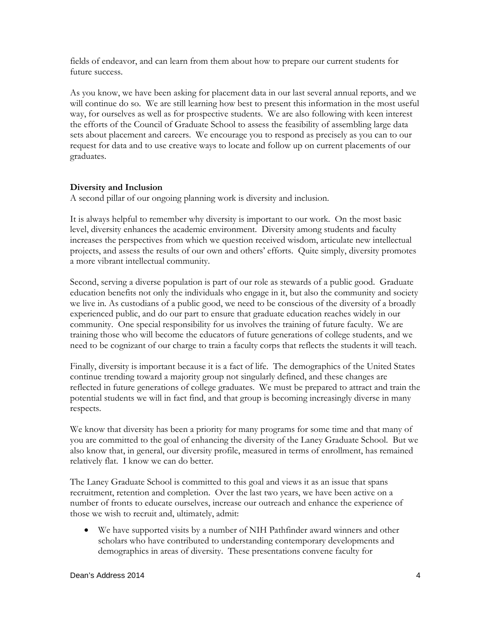fields of endeavor, and can learn from them about how to prepare our current students for future success.

As you know, we have been asking for placement data in our last several annual reports, and we will continue do so. We are still learning how best to present this information in the most useful way, for ourselves as well as for prospective students. We are also following with keen interest the efforts of the Council of Graduate School to assess the feasibility of assembling large data sets about placement and careers. We encourage you to respond as precisely as you can to our request for data and to use creative ways to locate and follow up on current placements of our graduates.

## **Diversity and Inclusion**

A second pillar of our ongoing planning work is diversity and inclusion.

It is always helpful to remember why diversity is important to our work. On the most basic level, diversity enhances the academic environment. Diversity among students and faculty increases the perspectives from which we question received wisdom, articulate new intellectual projects, and assess the results of our own and others' efforts. Quite simply, diversity promotes a more vibrant intellectual community.

Second, serving a diverse population is part of our role as stewards of a public good. Graduate education benefits not only the individuals who engage in it, but also the community and society we live in. As custodians of a public good, we need to be conscious of the diversity of a broadly experienced public, and do our part to ensure that graduate education reaches widely in our community. One special responsibility for us involves the training of future faculty. We are training those who will become the educators of future generations of college students, and we need to be cognizant of our charge to train a faculty corps that reflects the students it will teach.

Finally, diversity is important because it is a fact of life. The demographics of the United States continue trending toward a majority group not singularly defined, and these changes are reflected in future generations of college graduates. We must be prepared to attract and train the potential students we will in fact find, and that group is becoming increasingly diverse in many respects.

We know that diversity has been a priority for many programs for some time and that many of you are committed to the goal of enhancing the diversity of the Laney Graduate School. But we also know that, in general, our diversity profile, measured in terms of enrollment, has remained relatively flat. I know we can do better.

The Laney Graduate School is committed to this goal and views it as an issue that spans recruitment, retention and completion. Over the last two years, we have been active on a number of fronts to educate ourselves, increase our outreach and enhance the experience of those we wish to recruit and, ultimately, admit:

• We have supported visits by a number of NIH Pathfinder award winners and other scholars who have contributed to understanding contemporary developments and demographics in areas of diversity. These presentations convene faculty for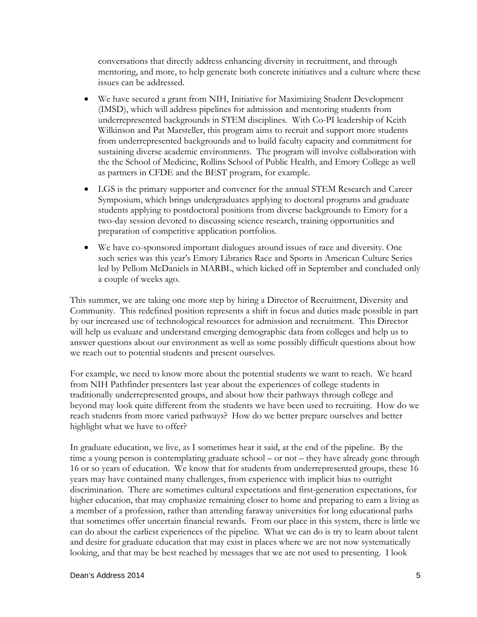conversations that directly address enhancing diversity in recruitment, and through mentoring, and more, to help generate both concrete initiatives and a culture where these issues can be addressed.

- We have secured a grant from NIH, Initiative for Maximizing Student Development (IMSD), which will address pipelines for admission and mentoring students from underrepresented backgrounds in STEM disciplines. With Co-PI leadership of Keith Wilkinson and Pat Marsteller, this program aims to recruit and support more students from underrepresented backgrounds and to build faculty capacity and commitment for sustaining diverse academic environments. The program will involve collaboration with the the School of Medicine, Rollins School of Public Health, and Emory College as well as partners in CFDE and the BEST program, for example.
- LGS is the primary supporter and convener for the annual STEM Research and Career Symposium, which brings undergraduates applying to doctoral programs and graduate students applying to postdoctoral positions from diverse backgrounds to Emory for a two-day session devoted to discussing science research, training opportunities and preparation of competitive application portfolios.
- We have co-sponsored important dialogues around issues of race and diversity. One such series was this year's Emory Libraries Race and Sports in American Culture Series led by Pellom McDaniels in MARBL, which kicked off in September and concluded only a couple of weeks ago.

This summer, we are taking one more step by hiring a Director of Recruitment, Diversity and Community. This redefined position represents a shift in focus and duties made possible in part by our increased use of technological resources for admission and recruitment. This Director will help us evaluate and understand emerging demographic data from colleges and help us to answer questions about our environment as well as some possibly difficult questions about how we reach out to potential students and present ourselves.

For example, we need to know more about the potential students we want to reach. We heard from NIH Pathfinder presenters last year about the experiences of college students in traditionally underrepresented groups, and about how their pathways through college and beyond may look quite different from the students we have been used to recruiting. How do we reach students from more varied pathways? How do we better prepare ourselves and better highlight what we have to offer?

In graduate education, we live, as I sometimes hear it said, at the end of the pipeline. By the time a young person is contemplating graduate school – or not – they have already gone through 16 or so years of education. We know that for students from underrepresented groups, these 16 years may have contained many challenges, from experience with implicit bias to outright discrimination. There are sometimes cultural expectations and first-generation expectations, for higher education, that may emphasize remaining closer to home and preparing to earn a living as a member of a profession, rather than attending faraway universities for long educational paths that sometimes offer uncertain financial rewards. From our place in this system, there is little we can do about the earliest experiences of the pipeline. What we can do is try to learn about talent and desire for graduate education that may exist in places where we are not now systematically looking, and that may be best reached by messages that we are not used to presenting. I look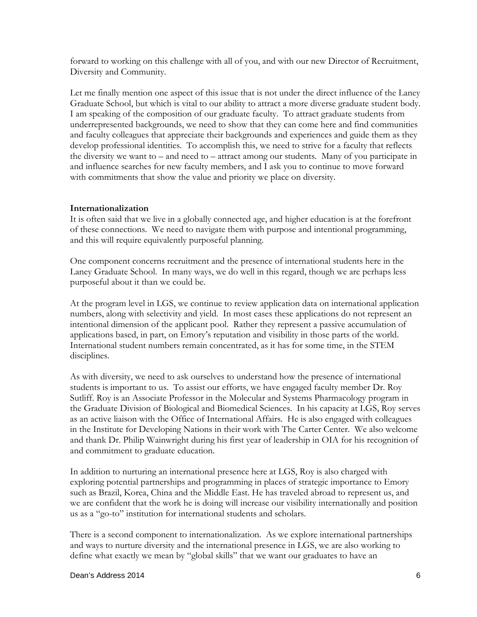forward to working on this challenge with all of you, and with our new Director of Recruitment, Diversity and Community.

Let me finally mention one aspect of this issue that is not under the direct influence of the Laney Graduate School, but which is vital to our ability to attract a more diverse graduate student body. I am speaking of the composition of our graduate faculty. To attract graduate students from underrepresented backgrounds, we need to show that they can come here and find communities and faculty colleagues that appreciate their backgrounds and experiences and guide them as they develop professional identities. To accomplish this, we need to strive for a faculty that reflects the diversity we want to – and need to – attract among our students. Many of you participate in and influence searches for new faculty members, and I ask you to continue to move forward with commitments that show the value and priority we place on diversity.

## **Internationalization**

It is often said that we live in a globally connected age, and higher education is at the forefront of these connections. We need to navigate them with purpose and intentional programming, and this will require equivalently purposeful planning.

One component concerns recruitment and the presence of international students here in the Laney Graduate School. In many ways, we do well in this regard, though we are perhaps less purposeful about it than we could be.

At the program level in LGS, we continue to review application data on international application numbers, along with selectivity and yield. In most cases these applications do not represent an intentional dimension of the applicant pool. Rather they represent a passive accumulation of applications based, in part, on Emory's reputation and visibility in those parts of the world. International student numbers remain concentrated, as it has for some time, in the STEM disciplines.

As with diversity, we need to ask ourselves to understand how the presence of international students is important to us. To assist our efforts, we have engaged faculty member Dr. Roy Sutliff. Roy is an Associate Professor in the Molecular and Systems Pharmacology program in the Graduate Division of Biological and Biomedical Sciences. In his capacity at LGS, Roy serves as an active liaison with the Office of International Affairs. He is also engaged with colleagues in the Institute for Developing Nations in their work with The Carter Center. We also welcome and thank Dr. Philip Wainwright during his first year of leadership in OIA for his recognition of and commitment to graduate education.

In addition to nurturing an international presence here at LGS, Roy is also charged with exploring potential partnerships and programming in places of strategic importance to Emory such as Brazil, Korea, China and the Middle East. He has traveled abroad to represent us, and we are confident that the work he is doing will increase our visibility internationally and position us as a "go-to" institution for international students and scholars.

There is a second component to internationalization. As we explore international partnerships and ways to nurture diversity and the international presence in LGS, we are also working to define what exactly we mean by "global skills" that we want our graduates to have an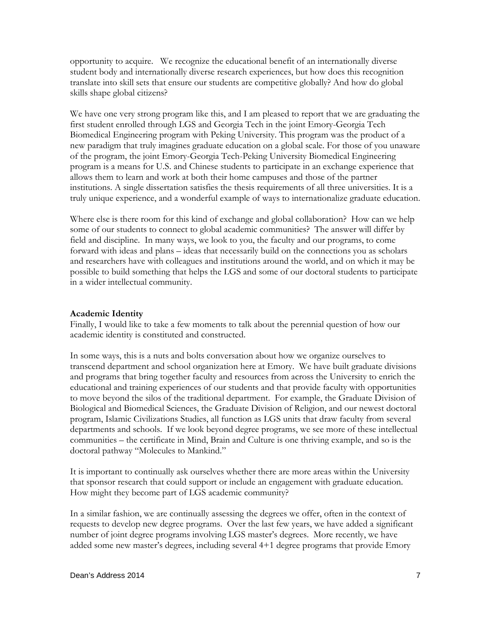opportunity to acquire. We recognize the educational benefit of an internationally diverse student body and internationally diverse research experiences, but how does this recognition translate into skill sets that ensure our students are competitive globally? And how do global skills shape global citizens?

We have one very strong program like this, and I am pleased to report that we are graduating the first student enrolled through LGS and Georgia Tech in the joint Emory-Georgia Tech Biomedical Engineering program with Peking University. This program was the product of a new paradigm that truly imagines graduate education on a global scale. For those of you unaware of the program, the joint Emory-Georgia Tech-Peking University Biomedical Engineering program is a means for U.S. and Chinese students to participate in an exchange experience that allows them to learn and work at both their home campuses and those of the partner institutions. A single dissertation satisfies the thesis requirements of all three universities. It is a truly unique experience, and a wonderful example of ways to internationalize graduate education.

Where else is there room for this kind of exchange and global collaboration? How can we help some of our students to connect to global academic communities? The answer will differ by field and discipline. In many ways, we look to you, the faculty and our programs, to come forward with ideas and plans – ideas that necessarily build on the connections you as scholars and researchers have with colleagues and institutions around the world, and on which it may be possible to build something that helps the LGS and some of our doctoral students to participate in a wider intellectual community.

## **Academic Identity**

Finally, I would like to take a few moments to talk about the perennial question of how our academic identity is constituted and constructed.

In some ways, this is a nuts and bolts conversation about how we organize ourselves to transcend department and school organization here at Emory. We have built graduate divisions and programs that bring together faculty and resources from across the University to enrich the educational and training experiences of our students and that provide faculty with opportunities to move beyond the silos of the traditional department. For example, the Graduate Division of Biological and Biomedical Sciences, the Graduate Division of Religion, and our newest doctoral program, Islamic Civilizations Studies, all function as LGS units that draw faculty from several departments and schools. If we look beyond degree programs, we see more of these intellectual communities – the certificate in Mind, Brain and Culture is one thriving example, and so is the doctoral pathway "Molecules to Mankind."

It is important to continually ask ourselves whether there are more areas within the University that sponsor research that could support or include an engagement with graduate education. How might they become part of LGS academic community?

In a similar fashion, we are continually assessing the degrees we offer, often in the context of requests to develop new degree programs. Over the last few years, we have added a significant number of joint degree programs involving LGS master's degrees. More recently, we have added some new master's degrees, including several 4+1 degree programs that provide Emory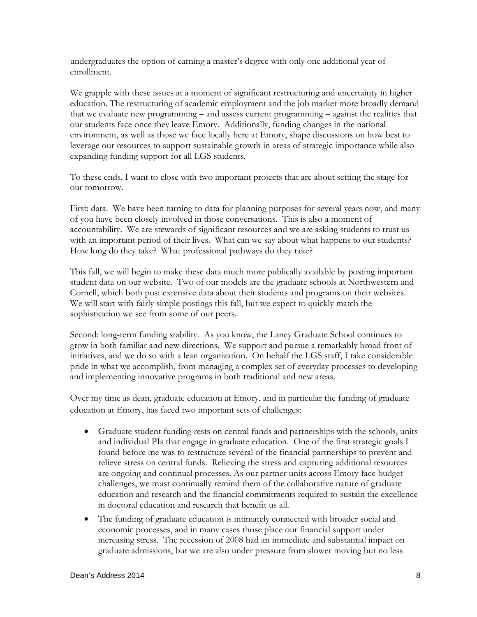undergraduates the option of earning a master's degree with only one additional year of enrollment.

We grapple with these issues at a moment of significant restructuring and uncertainty in higher education. The restructuring of academic employment and the job market more broadly demand that we evaluate new programming – and assess current programming – against the realities that our students face once they leave Emory. Additionally, funding changes in the national environment, as well as those we face locally here at Emory, shape discussions on how best to leverage our resources to support sustainable growth in areas of strategic importance while also expanding funding support for all LGS students.

To these ends, I want to close with two important projects that are about setting the stage for our tomorrow.

First: data. We have been turning to data for planning purposes for several years now, and many of you have been closely involved in those conversations. This is also a moment of accountability. We are stewards of significant resources and we are asking students to trust us with an important period of their lives. What can we say about what happens to our students? How long do they take? What professional pathways do they take?

This fall, we will begin to make these data much more publically available by posting important student data on our website. Two of our models are the graduate schools at Northwestern and Cornell, which both post extensive data about their students and programs on their websites. We will start with fairly simple postings this fall, but we expect to quickly match the sophistication we see from some of our peers.

Second: long-term funding stability. As you know, the Laney Graduate School continues to grow in both familiar and new directions. We support and pursue a remarkably broad front of initiatives, and we do so with a lean organization. On behalf the LGS staff, I take considerable pride in what we accomplish, from managing a complex set of everyday processes to developing and implementing innovative programs in both traditional and new areas.

Over my time as dean, graduate education at Emory, and in particular the funding of graduate education at Emory, has faced two important sets of challenges:

- Graduate student funding rests on central funds and partnerships with the schools, units and individual PIs that engage in graduate education. One of the first strategic goals I found before me was to restructure several of the financial partnerships to prevent and relieve stress on central funds. Relieving the stress and capturing additional resources are ongoing and continual processes. As our partner units across Emory face budget challenges, we must continually remind them of the collaborative nature of graduate education and research and the financial commitments required to sustain the excellence in doctoral education and research that benefit us all.
- The funding of graduate education is intimately connected with broader social and economic processes, and in many cases those place our financial support under increasing stress. The recession of 2008 had an immediate and substantial impact on graduate admissions, but we are also under pressure from slower moving but no less